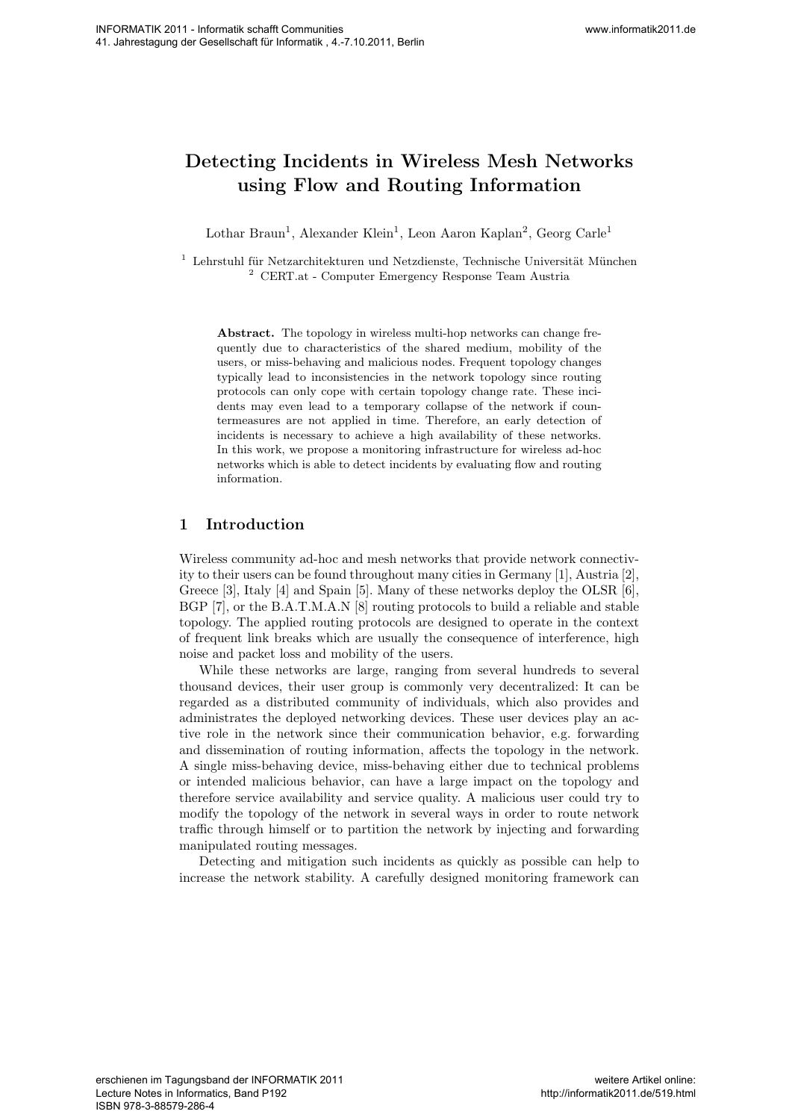# **Detecting Incidents in Wireless Mesh Networks using Flow and Routing Information**

Lothar Braun<sup>1</sup>, Alexander Klein<sup>1</sup>, Leon Aaron Kaplan<sup>2</sup>, Georg Carle<sup>1</sup>

 $1$  Lehrstuhl für Netzarchitekturen und Netzdienste, Technische Universität München <sup>2</sup> CERT.at - Computer Emergency Response Team Austria

**Abstract.** The topology in wireless multi-hop networks can change frequently due to characteristics of the shared medium, mobility of the users, or miss-behaving and malicious nodes. Frequent topology changes typically lead to inconsistencies in the network topology since routing protocols can only cope with certain topology change rate. These incidents may even lead to a temporary collapse of the network if countermeasures are not applied in time. Therefore, an early detection of incidents is necessary to achieve a high availability of these networks. In this work, we propose a monitoring infrastructure for wireless ad-hoc networks which is able to detect incidents by evaluating flow and routing information.

# **1 Introduction**

Wireless community ad-hoc and mesh networks that provide network connectivity to their users can be found throughout many cities in Germany [1], Austria [2], Greece [3], Italy [4] and Spain [5]. Many of these networks deploy the OLSR [6], BGP [7], or the B.A.T.M.A.N [8] routing protocols to build a reliable and stable topology. The applied routing protocols are designed to operate in the context of frequent link breaks which are usually the consequence of interference, high noise and packet loss and mobility of the users.

While these networks are large, ranging from several hundreds to several thousand devices, their user group is commonly very decentralized: It can be regarded as a distributed community of individuals, which also provides and administrates the deployed networking devices. These user devices play an active role in the network since their communication behavior, e.g. forwarding and dissemination of routing information, affects the topology in the network. A single miss-behaving device, miss-behaving either due to technical problems or intended malicious behavior, can have a large impact on the topology and therefore service availability and service quality. A malicious user could try to modify the topology of the network in several ways in order to route network traffic through himself or to partition the network by injecting and forwarding manipulated routing messages. We show that the control of the state of the state of the state of the state of the state of the state of the state of the state of the state of the state of the state of the state of the state of the state of the state o

Detecting and mitigation such incidents as quickly as possible can help to increase the network stability. A carefully designed monitoring framework can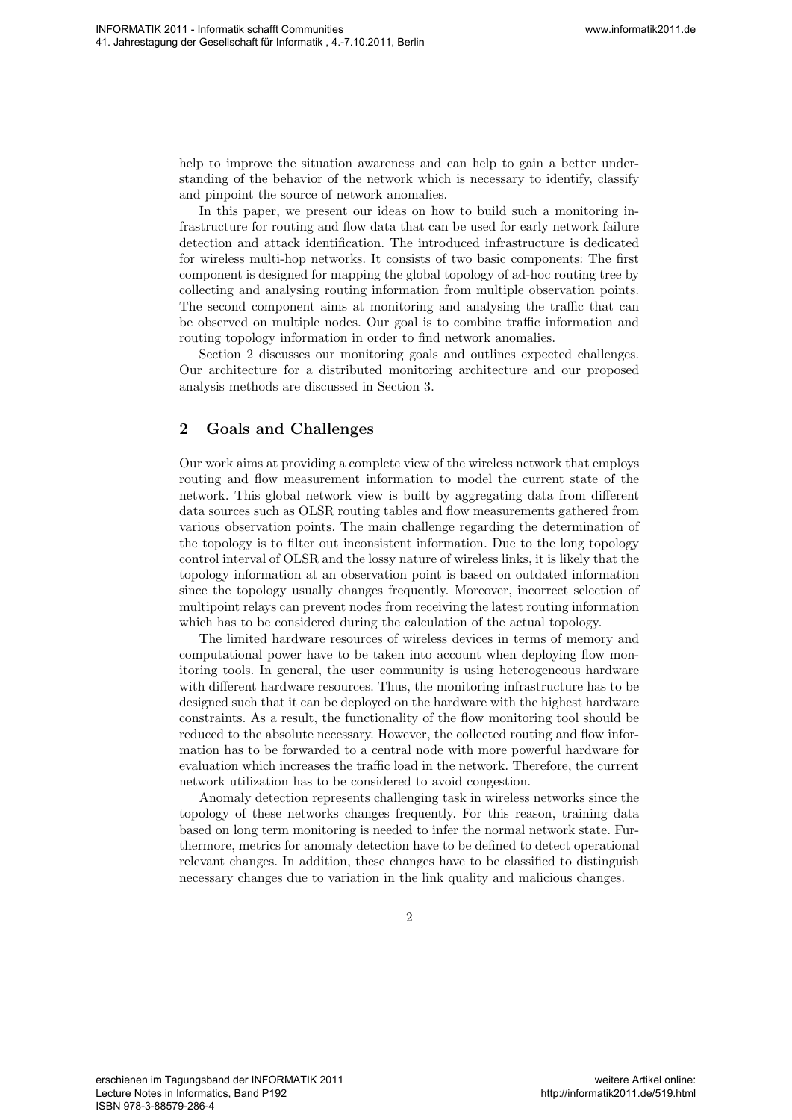help to improve the situation awareness and can help to gain a better understanding of the behavior of the network which is necessary to identify, classify and pinpoint the source of network anomalies.

In this paper, we present our ideas on how to build such a monitoring infrastructure for routing and flow data that can be used for early network failure detection and attack identification. The introduced infrastructure is dedicated for wireless multi-hop networks. It consists of two basic components: The first component is designed for mapping the global topology of ad-hoc routing tree by collecting and analysing routing information from multiple observation points. The second component aims at monitoring and analysing the traffic that can be observed on multiple nodes. Our goal is to combine traffic information and routing topology information in order to find network anomalies.

Section 2 discusses our monitoring goals and outlines expected challenges. Our architecture for a distributed monitoring architecture and our proposed analysis methods are discussed in Section 3.

## **2 Goals and Challenges**

Our work aims at providing a complete view of the wireless network that employs routing and flow measurement information to model the current state of the network. This global network view is built by aggregating data from different data sources such as OLSR routing tables and flow measurements gathered from various observation points. The main challenge regarding the determination of the topology is to filter out inconsistent information. Due to the long topology control interval of OLSR and the lossy nature of wireless links, it is likely that the topology information at an observation point is based on outdated information since the topology usually changes frequently. Moreover, incorrect selection of multipoint relays can prevent nodes from receiving the latest routing information which has to be considered during the calculation of the actual topology. Western Hotel and Conservation of the state of the state of the state of the state of the state of the state of the state of the state of the state of the state of the state of the state of the state of the state of the s

The limited hardware resources of wireless devices in terms of memory and computational power have to be taken into account when deploying flow monitoring tools. In general, the user community is using heterogeneous hardware with different hardware resources. Thus, the monitoring infrastructure has to be designed such that it can be deployed on the hardware with the highest hardware constraints. As a result, the functionality of the flow monitoring tool should be reduced to the absolute necessary. However, the collected routing and flow information has to be forwarded to a central node with more powerful hardware for evaluation which increases the traffic load in the network. Therefore, the current network utilization has to be considered to avoid congestion.

Anomaly detection represents challenging task in wireless networks since the topology of these networks changes frequently. For this reason, training data based on long term monitoring is needed to infer the normal network state. Furthermore, metrics for anomaly detection have to be defined to detect operational relevant changes. In addition, these changes have to be classified to distinguish necessary changes due to variation in the link quality and malicious changes.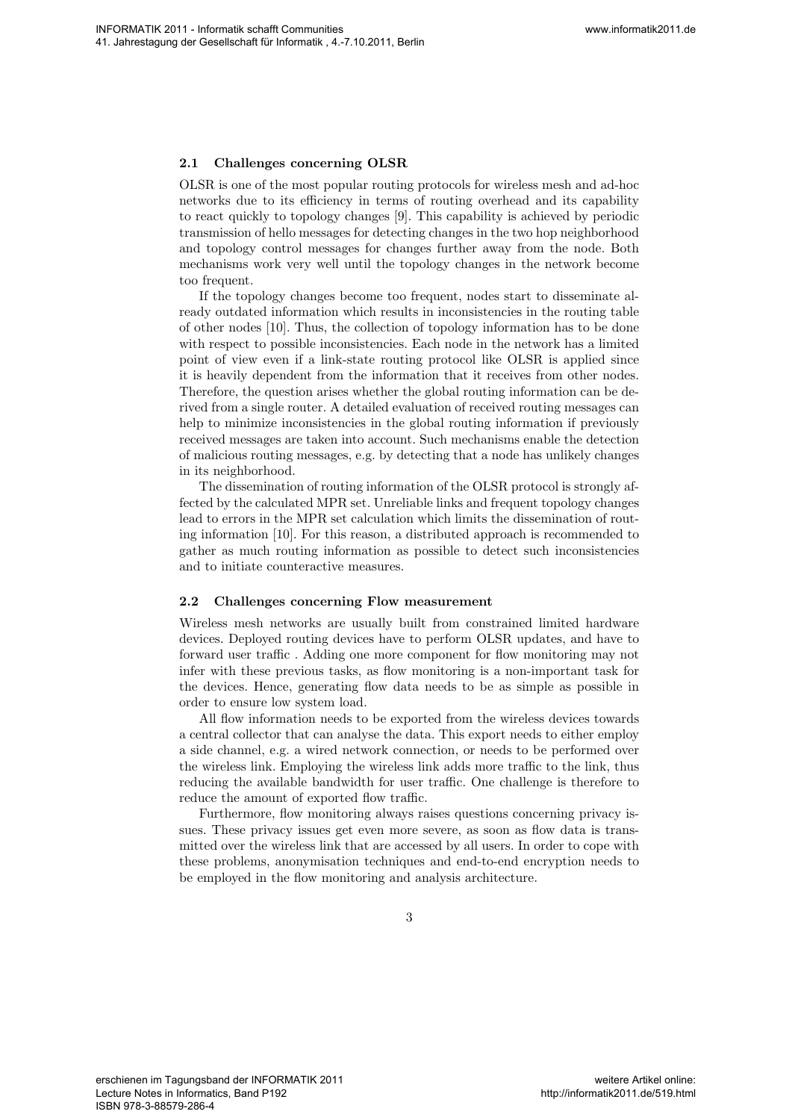### **2.1 Challenges concerning OLSR**

OLSR is one of the most popular routing protocols for wireless mesh and ad-hoc networks due to its efficiency in terms of routing overhead and its capability to react quickly to topology changes [9]. This capability is achieved by periodic transmission of hello messages for detecting changes in the two hop neighborhood and topology control messages for changes further away from the node. Both mechanisms work very well until the topology changes in the network become too frequent.

If the topology changes become too frequent, nodes start to disseminate already outdated information which results in inconsistencies in the routing table of other nodes [10]. Thus, the collection of topology information has to be done with respect to possible inconsistencies. Each node in the network has a limited point of view even if a link-state routing protocol like OLSR is applied since it is heavily dependent from the information that it receives from other nodes. Therefore, the question arises whether the global routing information can be derived from a single router. A detailed evaluation of received routing messages can help to minimize inconsistencies in the global routing information if previously received messages are taken into account. Such mechanisms enable the detection of malicious routing messages, e.g. by detecting that a node has unlikely changes in its neighborhood. We have the control of the control of the control of the control of the control of the control of the control of the control of the control of the control of the control of the control of the control of the control of the

The dissemination of routing information of the OLSR protocol is strongly affected by the calculated MPR set. Unreliable links and frequent topology changes lead to errors in the MPR set calculation which limits the dissemination of routing information [10]. For this reason, a distributed approach is recommended to gather as much routing information as possible to detect such inconsistencies and to initiate counteractive measures.

#### **2.2 Challenges concerning Flow measurement**

Wireless mesh networks are usually built from constrained limited hardware devices. Deployed routing devices have to perform OLSR updates, and have to forward user traffic . Adding one more component for flow monitoring may not infer with these previous tasks, as flow monitoring is a non-important task for the devices. Hence, generating flow data needs to be as simple as possible in order to ensure low system load.

All flow information needs to be exported from the wireless devices towards a central collector that can analyse the data. This export needs to either employ a side channel, e.g. a wired network connection, or needs to be performed over the wireless link. Employing the wireless link adds more traffic to the link, thus reducing the available bandwidth for user traffic. One challenge is therefore to reduce the amount of exported flow traffic.

Furthermore, flow monitoring always raises questions concerning privacy issues. These privacy issues get even more severe, as soon as flow data is transmitted over the wireless link that are accessed by all users. In order to cope with these problems, anonymisation techniques and end-to-end encryption needs to be employed in the flow monitoring and analysis architecture.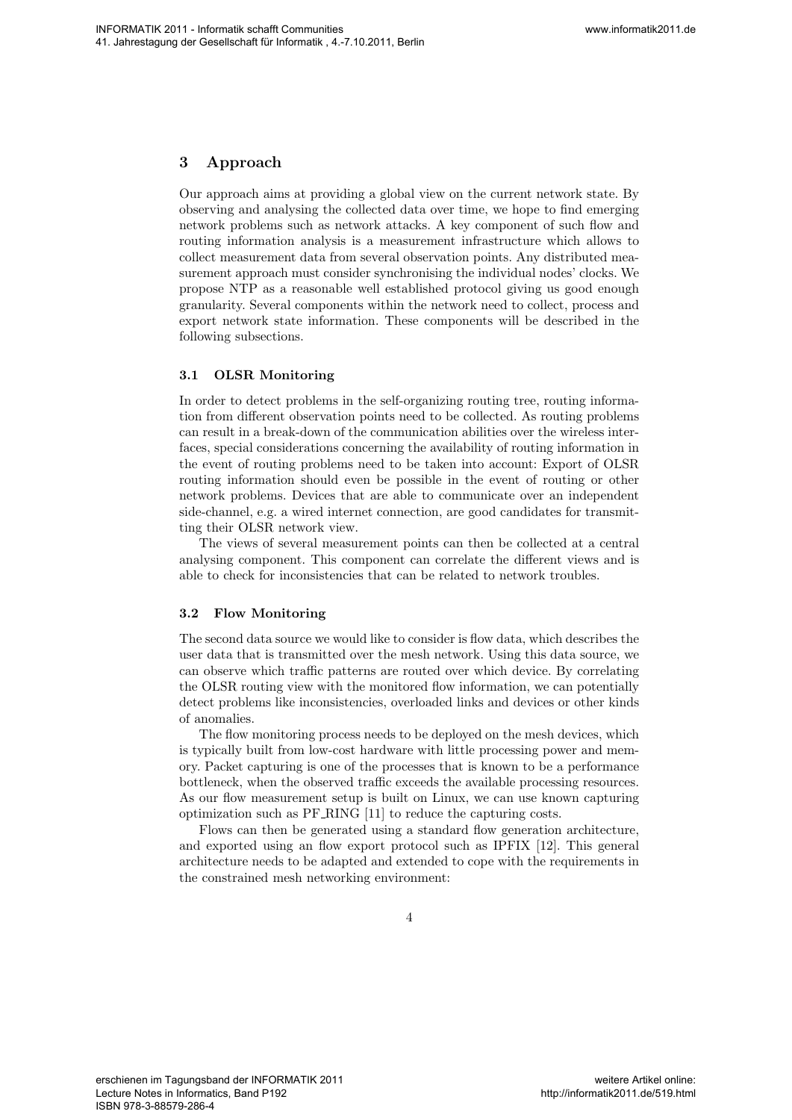# **3 Approach**

Our approach aims at providing a global view on the current network state. By observing and analysing the collected data over time, we hope to find emerging network problems such as network attacks. A key component of such flow and routing information analysis is a measurement infrastructure which allows to collect measurement data from several observation points. Any distributed measurement approach must consider synchronising the individual nodes' clocks. We propose NTP as a reasonable well established protocol giving us good enough granularity. Several components within the network need to collect, process and export network state information. These components will be described in the following subsections. We show that the consistent can be a state of the constraints of the constraints of the constraints of the constraints of the constraints of the constraints of the constraints of the constraints of the constraints of the

## **3.1 OLSR Monitoring**

In order to detect problems in the self-organizing routing tree, routing information from different observation points need to be collected. As routing problems can result in a break-down of the communication abilities over the wireless interfaces, special considerations concerning the availability of routing information in the event of routing problems need to be taken into account: Export of OLSR routing information should even be possible in the event of routing or other network problems. Devices that are able to communicate over an independent side-channel, e.g. a wired internet connection, are good candidates for transmitting their OLSR network view.

The views of several measurement points can then be collected at a central analysing component. This component can correlate the different views and is able to check for inconsistencies that can be related to network troubles.

#### **3.2 Flow Monitoring**

The second data source we would like to consider is flow data, which describes the user data that is transmitted over the mesh network. Using this data source, we can observe which traffic patterns are routed over which device. By correlating the OLSR routing view with the monitored flow information, we can potentially detect problems like inconsistencies, overloaded links and devices or other kinds of anomalies.

The flow monitoring process needs to be deployed on the mesh devices, which is typically built from low-cost hardware with little processing power and memory. Packet capturing is one of the processes that is known to be a performance bottleneck, when the observed traffic exceeds the available processing resources. As our flow measurement setup is built on Linux, we can use known capturing optimization such as PF RING [11] to reduce the capturing costs.

Flows can then be generated using a standard flow generation architecture, and exported using an flow export protocol such as IPFIX [12]. This general architecture needs to be adapted and extended to cope with the requirements in the constrained mesh networking environment: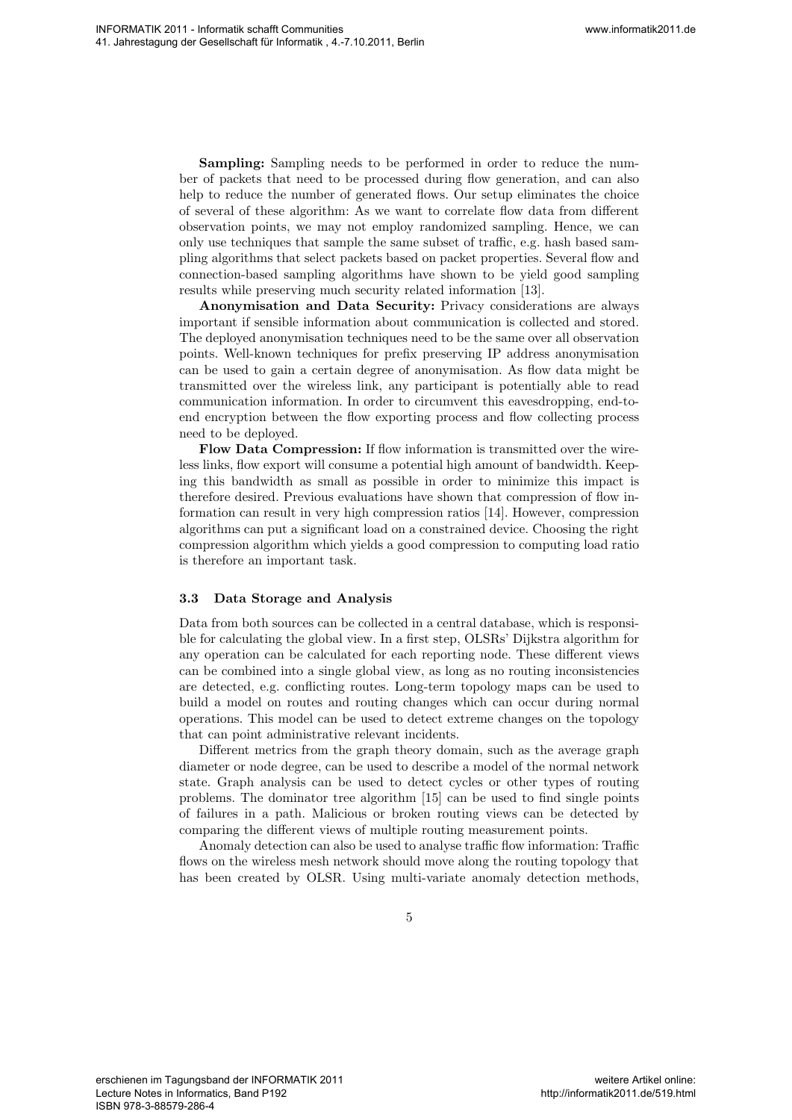**Sampling:** Sampling needs to be performed in order to reduce the number of packets that need to be processed during flow generation, and can also help to reduce the number of generated flows. Our setup eliminates the choice of several of these algorithm: As we want to correlate flow data from different observation points, we may not employ randomized sampling. Hence, we can only use techniques that sample the same subset of traffic, e.g. hash based sampling algorithms that select packets based on packet properties. Several flow and connection-based sampling algorithms have shown to be yield good sampling results while preserving much security related information [13].

**Anonymisation and Data Security:** Privacy considerations are always important if sensible information about communication is collected and stored. The deployed anonymisation techniques need to be the same over all observation points. Well-known techniques for prefix preserving IP address anonymisation can be used to gain a certain degree of anonymisation. As flow data might be transmitted over the wireless link, any participant is potentially able to read communication information. In order to circumvent this eavesdropping, end-toend encryption between the flow exporting process and flow collecting process need to be deployed. Webstrache the mass and the state of the proference in solar to exact the mass are considered in the state of the state of the state of the state of the state of the state of the state of the state of the state of the sta

**Flow Data Compression:** If flow information is transmitted over the wireless links, flow export will consume a potential high amount of bandwidth. Keeping this bandwidth as small as possible in order to minimize this impact is therefore desired. Previous evaluations have shown that compression of flow information can result in very high compression ratios [14]. However, compression algorithms can put a significant load on a constrained device. Choosing the right compression algorithm which yields a good compression to computing load ratio is therefore an important task.

#### **3.3 Data Storage and Analysis**

Data from both sources can be collected in a central database, which is responsible for calculating the global view. In a first step, OLSRs' Dijkstra algorithm for any operation can be calculated for each reporting node. These different views can be combined into a single global view, as long as no routing inconsistencies are detected, e.g. conflicting routes. Long-term topology maps can be used to build a model on routes and routing changes which can occur during normal operations. This model can be used to detect extreme changes on the topology that can point administrative relevant incidents.

Different metrics from the graph theory domain, such as the average graph diameter or node degree, can be used to describe a model of the normal network state. Graph analysis can be used to detect cycles or other types of routing problems. The dominator tree algorithm [15] can be used to find single points of failures in a path. Malicious or broken routing views can be detected by comparing the different views of multiple routing measurement points.

Anomaly detection can also be used to analyse traffic flow information: Traffic flows on the wireless mesh network should move along the routing topology that has been created by OLSR. Using multi-variate anomaly detection methods,